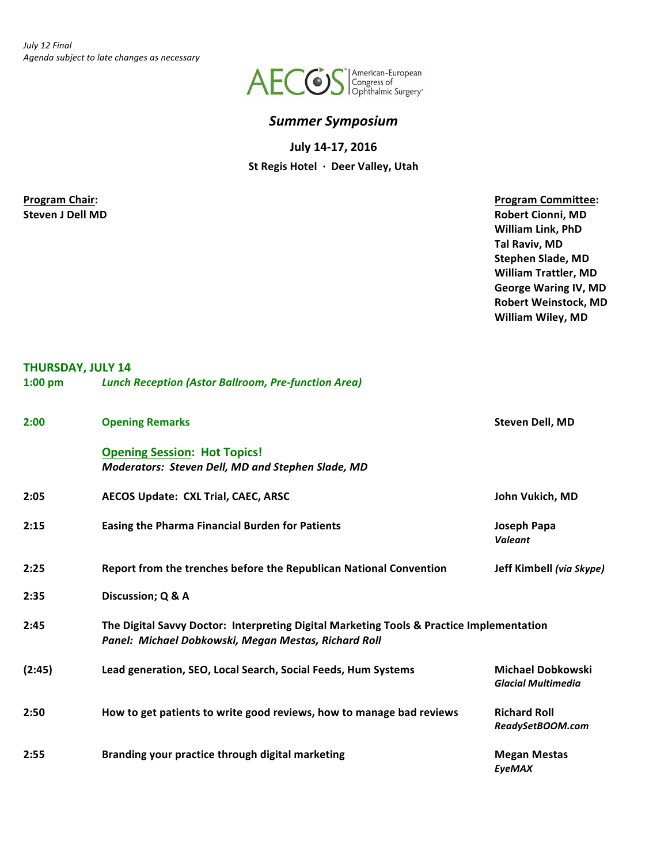

## *Summer Symposium*

**July 14-17, 2016**

St Regis Hotel · Deer Valley, Utah

**Program Chair: Program Committee: Program Committee: Steven J Dell MD Robert Cionni, MD William Link, PhD Tal Raviv, MD Stephen Slade, MD William Trattler, MD George Waring IV, MD Robert Weinstock, MD William Wiley, MD**

## **THURSDAY, JULY 14**

| $1:00$ pm | <b>Lunch Reception (Astor Ballroom, Pre-function Area)</b>                                                                                       |                                                       |
|-----------|--------------------------------------------------------------------------------------------------------------------------------------------------|-------------------------------------------------------|
| 2:00      | <b>Opening Remarks</b>                                                                                                                           | Steven Dell, MD                                       |
|           | <b>Opening Session: Hot Topics!</b><br>Moderators: Steven Dell, MD and Stephen Slade, MD                                                         |                                                       |
| 2:05      | AECOS Update: CXL Trial, CAEC, ARSC                                                                                                              | John Vukich, MD                                       |
| 2:15      | <b>Easing the Pharma Financial Burden for Patients</b>                                                                                           | Joseph Papa<br><b>Valeant</b>                         |
| 2:25      | Report from the trenches before the Republican National Convention                                                                               | Jeff Kimbell (via Skype)                              |
| 2:35      | Discussion; Q & A                                                                                                                                |                                                       |
| 2:45      | The Digital Savvy Doctor: Interpreting Digital Marketing Tools & Practice Implementation<br>Panel: Michael Dobkowski, Megan Mestas, Richard Roll |                                                       |
| (2:45)    | Lead generation, SEO, Local Search, Social Feeds, Hum Systems                                                                                    | <b>Michael Dobkowski</b><br><b>Glacial Multimedia</b> |
| 2:50      | How to get patients to write good reviews, how to manage bad reviews                                                                             | <b>Richard Roll</b><br>ReadySetBOOM.com               |
| 2:55      | Branding your practice through digital marketing                                                                                                 | <b>Megan Mestas</b><br><b>EyeMAX</b>                  |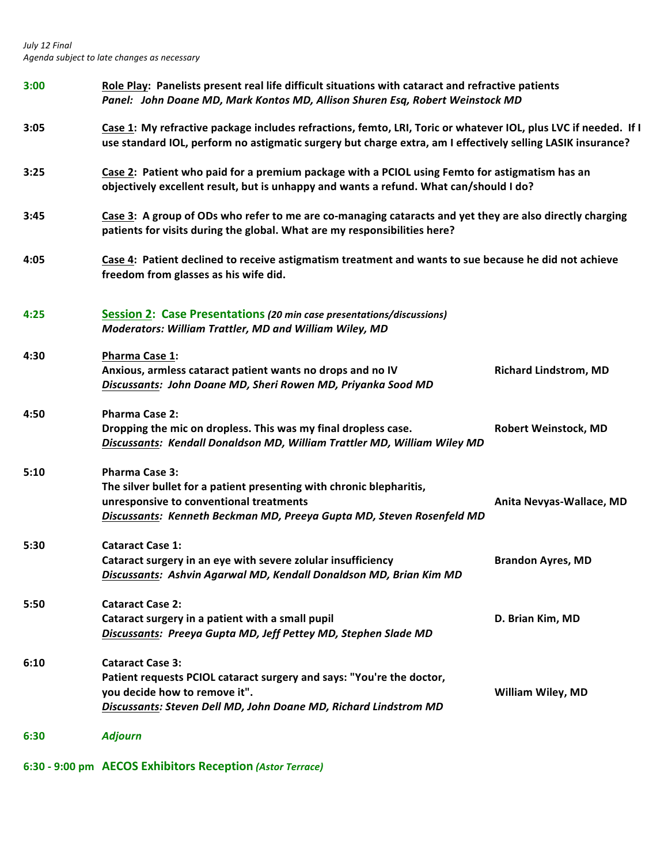|      | 6:30 - 9:00 pm AECOS Exhibitors Reception (Astor Terrace)                                                                                                                                                                      |                              |  |
|------|--------------------------------------------------------------------------------------------------------------------------------------------------------------------------------------------------------------------------------|------------------------------|--|
| 6:30 | <b>Adjourn</b>                                                                                                                                                                                                                 |                              |  |
| 6:10 | <b>Cataract Case 3:</b><br>Patient requests PCIOL cataract surgery and says: "You're the doctor,<br>you decide how to remove it".<br>Discussants: Steven Dell MD, John Doane MD, Richard Lindstrom MD                          | <b>William Wiley, MD</b>     |  |
| 5:50 | <b>Cataract Case 2:</b><br>Cataract surgery in a patient with a small pupil<br>Discussants: Preeya Gupta MD, Jeff Pettey MD, Stephen Slade MD                                                                                  | D. Brian Kim, MD             |  |
| 5:30 | <b>Cataract Case 1:</b><br>Cataract surgery in an eye with severe zolular insufficiency<br>Discussants: Ashvin Agarwal MD, Kendall Donaldson MD, Brian Kim MD                                                                  | <b>Brandon Ayres, MD</b>     |  |
| 5:10 | <b>Pharma Case 3:</b><br>The silver bullet for a patient presenting with chronic blepharitis,<br>unresponsive to conventional treatments<br>Discussants: Kenneth Beckman MD, Preeya Gupta MD, Steven Rosenfeld MD              | Anita Nevyas-Wallace, MD     |  |
| 4:50 | <b>Pharma Case 2:</b><br>Dropping the mic on dropless. This was my final dropless case.<br>Discussants: Kendall Donaldson MD, William Trattler MD, William Wiley MD                                                            | <b>Robert Weinstock, MD</b>  |  |
| 4:30 | <b>Pharma Case 1:</b><br>Anxious, armless cataract patient wants no drops and no IV<br>Discussants: John Doane MD, Sheri Rowen MD, Priyanka Sood MD                                                                            | <b>Richard Lindstrom, MD</b> |  |
| 4:25 | <b>Session 2: Case Presentations (20 min case presentations/discussions)</b><br>Moderators: William Trattler, MD and William Wiley, MD                                                                                         |                              |  |
| 4:05 | Case 4: Patient declined to receive astigmatism treatment and wants to sue because he did not achieve<br>freedom from glasses as his wife did.                                                                                 |                              |  |
| 3:45 | Case 3: A group of ODs who refer to me are co-managing cataracts and yet they are also directly charging<br>patients for visits during the global. What are my responsibilities here?                                          |                              |  |
| 3:25 | Case 2: Patient who paid for a premium package with a PCIOL using Femto for astigmatism has an<br>objectively excellent result, but is unhappy and wants a refund. What can/should I do?                                       |                              |  |
| 3:05 | Case 1: My refractive package includes refractions, femto, LRI, Toric or whatever IOL, plus LVC if needed. If I<br>use standard IOL, perform no astigmatic surgery but charge extra, am I effectively selling LASIK insurance? |                              |  |
| 3:00 | Role Play: Panelists present real life difficult situations with cataract and refractive patients<br>Panel: John Doane MD, Mark Kontos MD, Allison Shuren Esq, Robert Weinstock MD                                             |                              |  |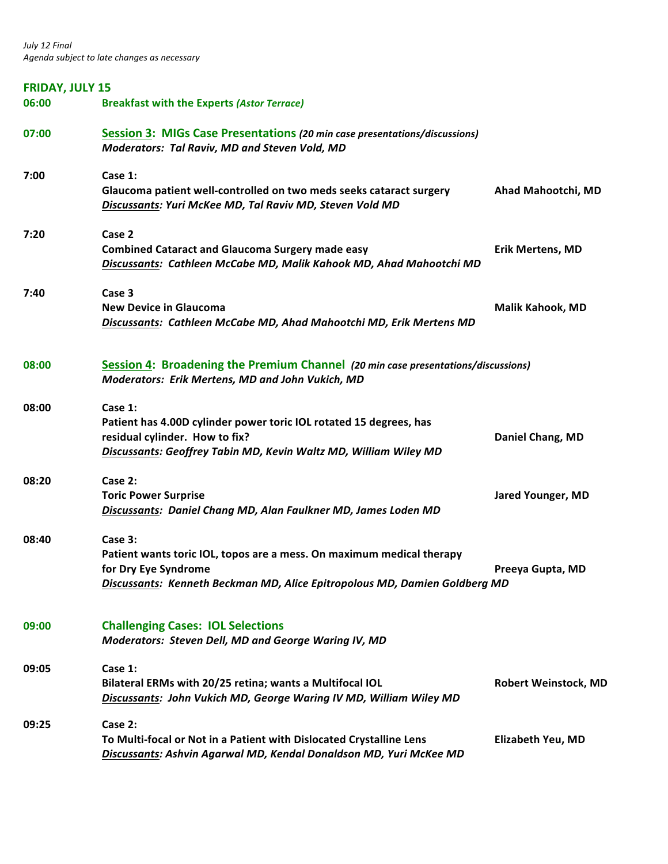| <b>FRIDAY, JULY 15</b> |                                                                                                                                                                                        |                             |
|------------------------|----------------------------------------------------------------------------------------------------------------------------------------------------------------------------------------|-----------------------------|
| 06:00                  | <b>Breakfast with the Experts (Astor Terrace)</b>                                                                                                                                      |                             |
| 07:00                  | Session 3: MIGs Case Presentations (20 min case presentations/discussions)<br>Moderators: Tal Raviv, MD and Steven Vold, MD                                                            |                             |
| 7:00                   | Case 1:<br>Glaucoma patient well-controlled on two meds seeks cataract surgery<br>Discussants: Yuri McKee MD, Tal Raviv MD, Steven Vold MD                                             | Ahad Mahootchi, MD          |
| 7:20                   | Case 2<br><b>Combined Cataract and Glaucoma Surgery made easy</b><br>Discussants: Cathleen McCabe MD, Malik Kahook MD, Ahad Mahootchi MD                                               | <b>Erik Mertens, MD</b>     |
| 7:40                   | Case 3<br><b>New Device in Glaucoma</b><br>Discussants: Cathleen McCabe MD, Ahad Mahootchi MD, Erik Mertens MD                                                                         | Malik Kahook, MD            |
| 08:00                  | Session 4: Broadening the Premium Channel (20 min case presentations/discussions)<br>Moderators: Erik Mertens, MD and John Vukich, MD                                                  |                             |
| 08:00                  | Case 1:<br>Patient has 4.00D cylinder power toric IOL rotated 15 degrees, has<br>residual cylinder. How to fix?<br>Discussants: Geoffrey Tabin MD, Kevin Waltz MD, William Wiley MD    | Daniel Chang, MD            |
| 08:20                  | Case 2:<br><b>Toric Power Surprise</b><br>Discussants: Daniel Chang MD, Alan Faulkner MD, James Loden MD                                                                               | <b>Jared Younger, MD</b>    |
| 08:40                  | Case 3:<br>Patient wants toric IOL, topos are a mess. On maximum medical therapy<br>for Dry Eye Syndrome<br>Discussants: Kenneth Beckman MD, Alice Epitropolous MD, Damien Goldberg MD | Preeya Gupta, MD            |
| 09:00                  | <b>Challenging Cases: IOL Selections</b><br>Moderators: Steven Dell, MD and George Waring IV, MD                                                                                       |                             |
| 09:05                  | Case 1:<br>Bilateral ERMs with 20/25 retina; wants a Multifocal IOL<br>Discussants: John Vukich MD, George Waring IV MD, William Wiley MD                                              | <b>Robert Weinstock, MD</b> |
| 09:25                  | Case 2:<br>To Multi-focal or Not in a Patient with Dislocated Crystalline Lens<br>Discussants: Ashvin Agarwal MD, Kendal Donaldson MD, Yuri McKee MD                                   | <b>Elizabeth Yeu, MD</b>    |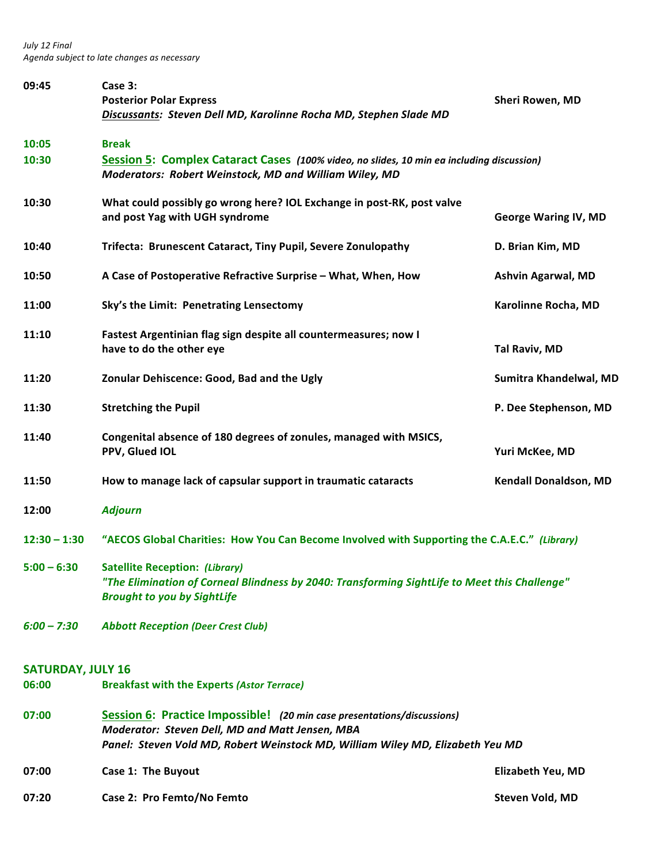| 09:45                    | Case 3:<br><b>Posterior Polar Express</b><br>Discussants: Steven Dell MD, Karolinne Rocha MD, Stephen Slade MD                                                                                               | Sheri Rowen, MD              |
|--------------------------|--------------------------------------------------------------------------------------------------------------------------------------------------------------------------------------------------------------|------------------------------|
| 10:05                    | <b>Break</b>                                                                                                                                                                                                 |                              |
| 10:30                    | Session 5: Complex Cataract Cases (100% video, no slides, 10 min ea including discussion)<br>Moderators: Robert Weinstock, MD and William Wiley, MD                                                          |                              |
| 10:30                    | What could possibly go wrong here? IOL Exchange in post-RK, post valve<br>and post Yag with UGH syndrome                                                                                                     | <b>George Waring IV, MD</b>  |
| 10:40                    | Trifecta: Brunescent Cataract, Tiny Pupil, Severe Zonulopathy                                                                                                                                                | D. Brian Kim, MD             |
| 10:50                    | A Case of Postoperative Refractive Surprise - What, When, How                                                                                                                                                | <b>Ashvin Agarwal, MD</b>    |
| 11:00                    | Sky's the Limit: Penetrating Lensectomy                                                                                                                                                                      | Karolinne Rocha, MD          |
| 11:10                    | Fastest Argentinian flag sign despite all countermeasures; now I<br>have to do the other eye                                                                                                                 | Tal Raviv, MD                |
| 11:20                    | Zonular Dehiscence: Good, Bad and the Ugly                                                                                                                                                                   | Sumitra Khandelwal, MD       |
| 11:30                    | <b>Stretching the Pupil</b>                                                                                                                                                                                  | P. Dee Stephenson, MD        |
| 11:40                    | Congenital absence of 180 degrees of zonules, managed with MSICS,<br>PPV, Glued IOL                                                                                                                          | Yuri McKee, MD               |
| 11:50                    | How to manage lack of capsular support in traumatic cataracts                                                                                                                                                | <b>Kendall Donaldson, MD</b> |
| 12:00                    | <b>Adjourn</b>                                                                                                                                                                                               |                              |
| $12:30 - 1:30$           | "AECOS Global Charities: How You Can Become Involved with Supporting the C.A.E.C." (Library)                                                                                                                 |                              |
| $5:00 - 6:30$            | <b>Satellite Reception: (Library)</b><br>"The Elimination of Corneal Blindness by 2040: Transforming SightLife to Meet this Challenge"<br><b>Brought to you by SightLife</b>                                 |                              |
| $6:00 - 7:30$            | <b>Abbott Reception (Deer Crest Club)</b>                                                                                                                                                                    |                              |
| <b>SATURDAY, JULY 16</b> |                                                                                                                                                                                                              |                              |
| 06:00                    | <b>Breakfast with the Experts (Astor Terrace)</b>                                                                                                                                                            |                              |
| 07:00                    | Session 6: Practice Impossible! (20 min case presentations/discussions)<br>Moderator: Steven Dell, MD and Matt Jensen, MBA<br>Panel: Steven Vold MD, Robert Weinstock MD, William Wiley MD, Elizabeth Yeu MD |                              |
| 07:00                    | Case 1: The Buyout                                                                                                                                                                                           | <b>Elizabeth Yeu, MD</b>     |

**07:20** Case 2: Pro Femto/No Femto **by the Case 2: Pro** Femto *Case 2: Pro Femto Case 2: Pro Femto Case 2: Pro Femto* **<b>***Case 2: Pro Femto Case 2: Pro Femto Case 2: Pro Femto Case 2: Pro Femto Case*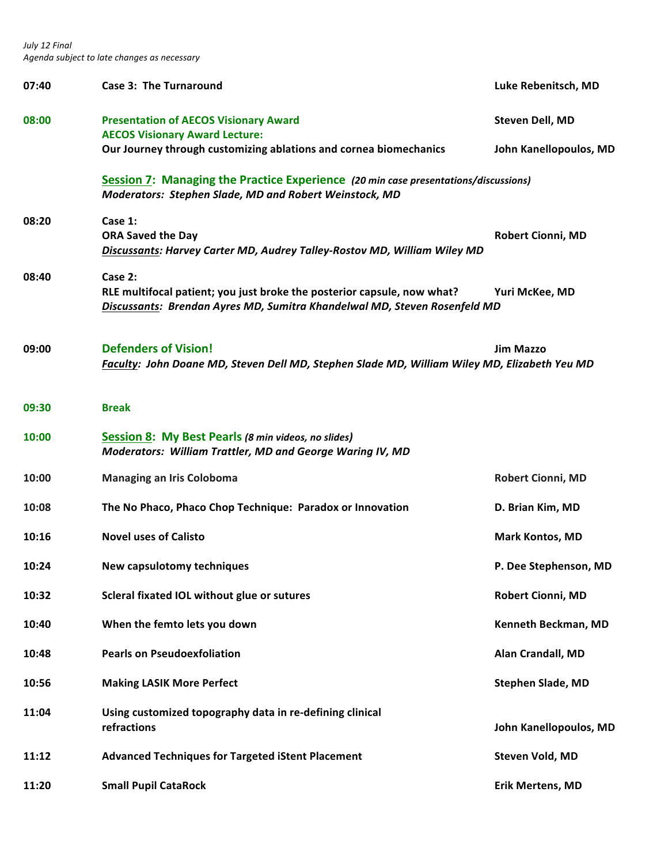| 07:40 | <b>Case 3: The Turnaround</b>                                                                                                                                   | Luke Rebenitsch, MD      |
|-------|-----------------------------------------------------------------------------------------------------------------------------------------------------------------|--------------------------|
| 08:00 | <b>Presentation of AECOS Visionary Award</b><br><b>AECOS Visionary Award Lecture:</b>                                                                           | Steven Dell, MD          |
|       | Our Journey through customizing ablations and cornea biomechanics                                                                                               | John Kanellopoulos, MD   |
|       | Session 7: Managing the Practice Experience (20 min case presentations/discussions)<br>Moderators: Stephen Slade, MD and Robert Weinstock, MD                   |                          |
| 08:20 | Case 1:<br><b>ORA Saved the Day</b><br>Discussants: Harvey Carter MD, Audrey Talley-Rostov MD, William Wiley MD                                                 | <b>Robert Cionni, MD</b> |
|       |                                                                                                                                                                 |                          |
| 08:40 | Case 2:<br>RLE multifocal patient; you just broke the posterior capsule, now what?<br>Discussants: Brendan Ayres MD, Sumitra Khandelwal MD, Steven Rosenfeld MD | Yuri McKee, MD           |
| 09:00 | <b>Defenders of Vision!</b><br>Faculty: John Doane MD, Steven Dell MD, Stephen Slade MD, William Wiley MD, Elizabeth Yeu MD                                     | <b>Jim Mazzo</b>         |
| 09:30 | <b>Break</b>                                                                                                                                                    |                          |
| 10:00 | Session 8: My Best Pearls (8 min videos, no slides)<br><b>Moderators: William Trattler, MD and George Waring IV, MD</b>                                         |                          |
| 10:00 | <b>Managing an Iris Coloboma</b>                                                                                                                                | <b>Robert Cionni, MD</b> |
| 10:08 | The No Phaco, Phaco Chop Technique: Paradox or Innovation                                                                                                       | D. Brian Kim, MD         |
| 10:16 | <b>Novel uses of Calisto</b>                                                                                                                                    | <b>Mark Kontos, MD</b>   |
| 10:24 | New capsulotomy techniques                                                                                                                                      | P. Dee Stephenson, MD    |
| 10:32 | Scleral fixated IOL without glue or sutures                                                                                                                     | Robert Cionni, MD        |
| 10:40 | When the femto lets you down                                                                                                                                    | Kenneth Beckman, MD      |
| 10:48 | <b>Pearls on Pseudoexfoliation</b>                                                                                                                              | Alan Crandall, MD        |
| 10:56 | <b>Making LASIK More Perfect</b>                                                                                                                                | <b>Stephen Slade, MD</b> |
| 11:04 | Using customized topography data in re-defining clinical<br>refractions                                                                                         | John Kanellopoulos, MD   |
| 11:12 | <b>Advanced Techniques for Targeted iStent Placement</b>                                                                                                        | Steven Vold, MD          |
| 11:20 | <b>Small Pupil CataRock</b>                                                                                                                                     | <b>Erik Mertens, MD</b>  |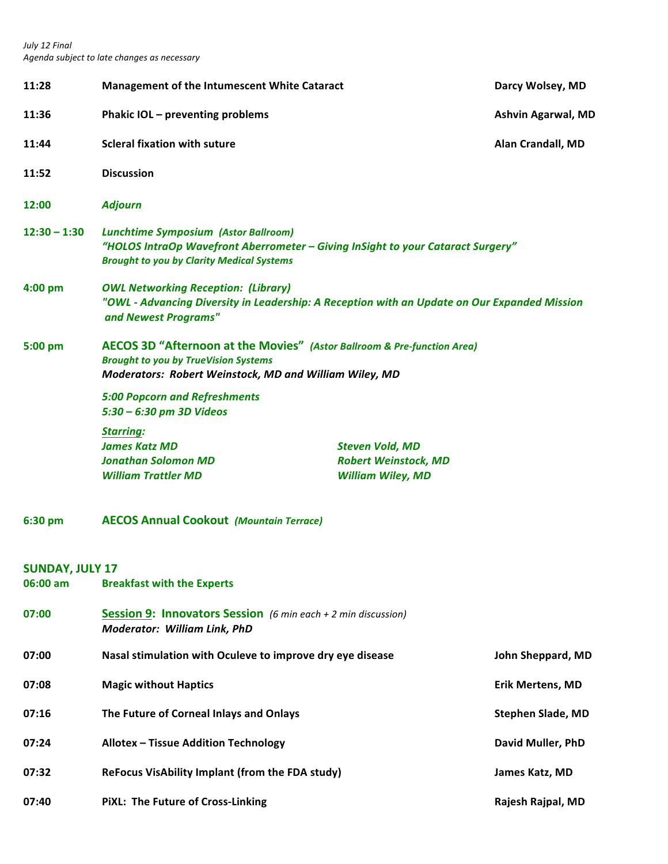| 11:28                              | Management of the Intumescent White Cataract                                                                                                                                       |                                                                                   | Darcy Wolsey, MD          |
|------------------------------------|------------------------------------------------------------------------------------------------------------------------------------------------------------------------------------|-----------------------------------------------------------------------------------|---------------------------|
| 11:36                              | Phakic IOL - preventing problems                                                                                                                                                   |                                                                                   | <b>Ashvin Agarwal, MD</b> |
| 11:44                              | <b>Scleral fixation with suture</b>                                                                                                                                                |                                                                                   | Alan Crandall, MD         |
| 11:52                              | <b>Discussion</b>                                                                                                                                                                  |                                                                                   |                           |
| 12:00                              | <b>Adjourn</b>                                                                                                                                                                     |                                                                                   |                           |
| $12:30 - 1:30$                     | <b>Lunchtime Symposium (Astor Ballroom)</b><br>"HOLOS IntraOp Wavefront Aberrometer – Giving InSight to your Cataract Surgery"<br><b>Brought to you by Clarity Medical Systems</b> |                                                                                   |                           |
| $4:00$ pm                          | <b>OWL Networking Reception: (Library)</b><br>"OWL - Advancing Diversity in Leadership: A Reception with an Update on Our Expanded Mission<br>and Newest Programs"                 |                                                                                   |                           |
| 5:00 pm                            | AECOS 3D "Afternoon at the Movies" (Astor Ballroom & Pre-function Area)<br><b>Brought to you by TrueVision Systems</b><br>Moderators: Robert Weinstock, MD and William Wiley, MD   |                                                                                   |                           |
|                                    | <b>5:00 Popcorn and Refreshments</b><br>5:30 - 6:30 pm 3D Videos                                                                                                                   |                                                                                   |                           |
|                                    | <b>Starring:</b><br><b>James Katz MD</b><br><b>Jonathan Solomon MD</b><br><b>William Trattler MD</b>                                                                               | <b>Steven Vold, MD</b><br><b>Robert Weinstock, MD</b><br><b>William Wiley, MD</b> |                           |
| 6:30 pm                            | <b>AECOS Annual Cookout (Mountain Terrace)</b>                                                                                                                                     |                                                                                   |                           |
| <b>SUNDAY, JULY 17</b><br>06:00 am | <b>Breakfast with the Experts</b>                                                                                                                                                  |                                                                                   |                           |
| 07:00                              | <b>Session 9: Innovators Session</b> (6 min each + 2 min discussion)<br>Moderator: William Link, PhD                                                                               |                                                                                   |                           |
| 07:00                              | Nasal stimulation with Oculeve to improve dry eye disease                                                                                                                          |                                                                                   | John Sheppard, MD         |
| 07:08                              | <b>Magic without Haptics</b>                                                                                                                                                       |                                                                                   | <b>Erik Mertens, MD</b>   |
| 07:16                              | The Future of Corneal Inlays and Onlays                                                                                                                                            |                                                                                   | Stephen Slade, MD         |
| 07:24                              | <b>Allotex - Tissue Addition Technology</b>                                                                                                                                        |                                                                                   | David Muller, PhD         |
| 07:32                              | ReFocus VisAbility Implant (from the FDA study)                                                                                                                                    |                                                                                   | James Katz, MD            |
| 07:40                              | PiXL: The Future of Cross-Linking                                                                                                                                                  |                                                                                   | Rajesh Rajpal, MD         |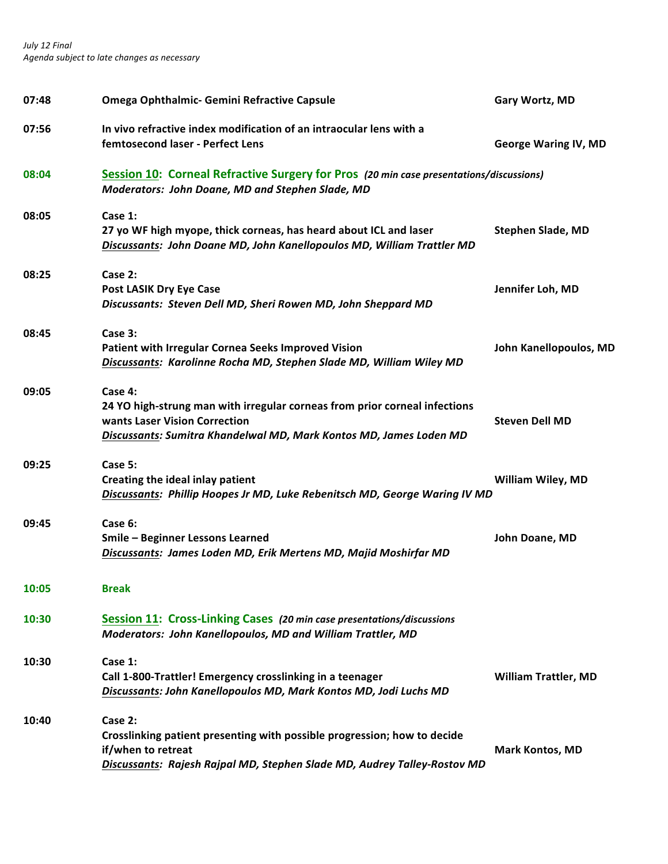| 07:48 | Omega Ophthalmic- Gemini Refractive Capsule                                                                                                                                                  | Gary Wortz, MD              |
|-------|----------------------------------------------------------------------------------------------------------------------------------------------------------------------------------------------|-----------------------------|
| 07:56 | In vivo refractive index modification of an intraocular lens with a<br>femtosecond laser - Perfect Lens                                                                                      | <b>George Waring IV, MD</b> |
| 08:04 | Session 10: Corneal Refractive Surgery for Pros (20 min case presentations/discussions)<br>Moderators: John Doane, MD and Stephen Slade, MD                                                  |                             |
| 08:05 | Case 1:<br>27 yo WF high myope, thick corneas, has heard about ICL and laser<br>Discussants: John Doane MD, John Kanellopoulos MD, William Trattler MD                                       | <b>Stephen Slade, MD</b>    |
| 08:25 | Case 2:<br><b>Post LASIK Dry Eye Case</b><br>Discussants: Steven Dell MD, Sheri Rowen MD, John Sheppard MD                                                                                   | Jennifer Loh, MD            |
| 08:45 | Case 3:<br>Patient with Irregular Cornea Seeks Improved Vision<br>Discussants: Karolinne Rocha MD, Stephen Slade MD, William Wiley MD                                                        | John Kanellopoulos, MD      |
| 09:05 | Case 4:<br>24 YO high-strung man with irregular corneas from prior corneal infections<br>wants Laser Vision Correction<br>Discussants: Sumitra Khandelwal MD, Mark Kontos MD, James Loden MD | <b>Steven Dell MD</b>       |
| 09:25 | Case 5:<br>Creating the ideal inlay patient<br>Discussants: Phillip Hoopes Jr MD, Luke Rebenitsch MD, George Waring IV MD                                                                    | <b>William Wiley, MD</b>    |
| 09:45 | Case 6:<br>Smile - Beginner Lessons Learned<br>Discussants: James Loden MD, Erik Mertens MD, Majid Moshirfar MD                                                                              | John Doane, MD              |
| 10:05 | <b>Break</b>                                                                                                                                                                                 |                             |
| 10:30 | Session 11: Cross-Linking Cases (20 min case presentations/discussions<br>Moderators: John Kanellopoulos, MD and William Trattler, MD                                                        |                             |
| 10:30 | Case 1:<br>Call 1-800-Trattler! Emergency crosslinking in a teenager<br>Discussants: John Kanellopoulos MD, Mark Kontos MD, Jodi Luchs MD                                                    | <b>William Trattler, MD</b> |
| 10:40 | Case 2:<br>Crosslinking patient presenting with possible progression; how to decide<br>if/when to retreat<br>Discussants: Rajesh Rajpal MD, Stephen Slade MD, Audrey Talley-Rostov MD        | <b>Mark Kontos, MD</b>      |